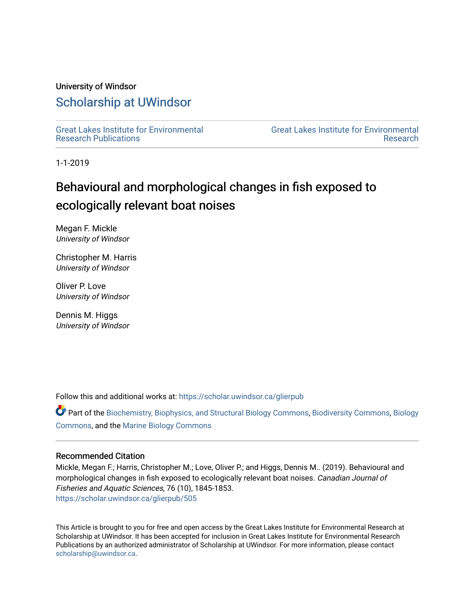#### University of Windsor

## [Scholarship at UWindsor](https://scholar.uwindsor.ca/)

[Great Lakes Institute for Environmental](https://scholar.uwindsor.ca/glierpub) [Research Publications](https://scholar.uwindsor.ca/glierpub) 

[Great Lakes Institute for Environmental](https://scholar.uwindsor.ca/glier)  [Research](https://scholar.uwindsor.ca/glier) 

1-1-2019

# Behavioural and morphological changes in fish exposed to ecologically relevant boat noises

Megan F. Mickle University of Windsor

Christopher M. Harris University of Windsor

Oliver P. Love University of Windsor

Dennis M. Higgs University of Windsor

Follow this and additional works at: [https://scholar.uwindsor.ca/glierpub](https://scholar.uwindsor.ca/glierpub?utm_source=scholar.uwindsor.ca%2Fglierpub%2F505&utm_medium=PDF&utm_campaign=PDFCoverPages) 

Part of the [Biochemistry, Biophysics, and Structural Biology Commons](http://network.bepress.com/hgg/discipline/1?utm_source=scholar.uwindsor.ca%2Fglierpub%2F505&utm_medium=PDF&utm_campaign=PDFCoverPages), [Biodiversity Commons,](http://network.bepress.com/hgg/discipline/1127?utm_source=scholar.uwindsor.ca%2Fglierpub%2F505&utm_medium=PDF&utm_campaign=PDFCoverPages) [Biology](http://network.bepress.com/hgg/discipline/41?utm_source=scholar.uwindsor.ca%2Fglierpub%2F505&utm_medium=PDF&utm_campaign=PDFCoverPages)  [Commons](http://network.bepress.com/hgg/discipline/41?utm_source=scholar.uwindsor.ca%2Fglierpub%2F505&utm_medium=PDF&utm_campaign=PDFCoverPages), and the [Marine Biology Commons](http://network.bepress.com/hgg/discipline/1126?utm_source=scholar.uwindsor.ca%2Fglierpub%2F505&utm_medium=PDF&utm_campaign=PDFCoverPages) 

#### Recommended Citation

Mickle, Megan F.; Harris, Christopher M.; Love, Oliver P.; and Higgs, Dennis M.. (2019). Behavioural and morphological changes in fish exposed to ecologically relevant boat noises. Canadian Journal of Fisheries and Aquatic Sciences, 76 (10), 1845-1853. [https://scholar.uwindsor.ca/glierpub/505](https://scholar.uwindsor.ca/glierpub/505?utm_source=scholar.uwindsor.ca%2Fglierpub%2F505&utm_medium=PDF&utm_campaign=PDFCoverPages) 

This Article is brought to you for free and open access by the Great Lakes Institute for Environmental Research at Scholarship at UWindsor. It has been accepted for inclusion in Great Lakes Institute for Environmental Research Publications by an authorized administrator of Scholarship at UWindsor. For more information, please contact [scholarship@uwindsor.ca.](mailto:scholarship@uwindsor.ca)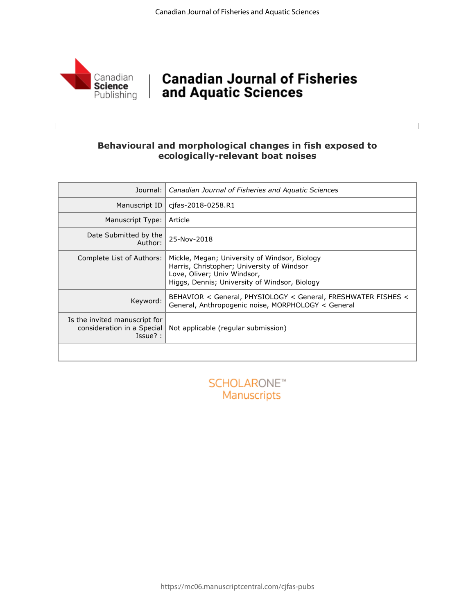

 $\begin{array}{c} \hline \end{array}$ 

## | Canadian Journal of Fisheries and Aquatic Sciences

### **Behavioural and morphological changes in fish exposed to ecologically-relevant boat noises**

| Journal:                                                                  | Canadian Journal of Fisheries and Aquatic Sciences                                                                                                                          |
|---------------------------------------------------------------------------|-----------------------------------------------------------------------------------------------------------------------------------------------------------------------------|
| Manuscript ID                                                             | cjfas-2018-0258.R1                                                                                                                                                          |
| Manuscript Type:                                                          | Article                                                                                                                                                                     |
| Date Submitted by the<br>Author:                                          | 25-Nov-2018                                                                                                                                                                 |
| Complete List of Authors:                                                 | Mickle, Megan; University of Windsor, Biology<br>Harris, Christopher; University of Windsor<br>Love, Oliver; Univ Windsor,<br>Higgs, Dennis; University of Windsor, Biology |
| Keyword:                                                                  | BEHAVIOR < General, PHYSIOLOGY < General, FRESHWATER FISHES <<br>General, Anthropogenic noise, MORPHOLOGY < General                                                         |
| Is the invited manuscript for<br>consideration in a Special<br>$Issue?$ : | Not applicable (regular submission)                                                                                                                                         |
|                                                                           |                                                                                                                                                                             |

**SCHOLARONE™** Manuscripts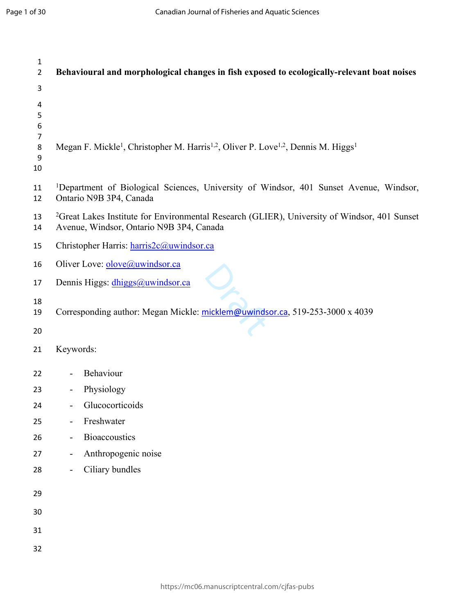| $\mathbf{1}$<br>$\overline{2}$ | Behavioural and morphological changes in fish exposed to ecologically-relevant boat noises                                                           |
|--------------------------------|------------------------------------------------------------------------------------------------------------------------------------------------------|
| 3<br>4<br>5<br>6<br>7          |                                                                                                                                                      |
| $\bf 8$<br>9<br>10             | Megan F. Mickle <sup>1</sup> , Christopher M. Harris <sup>1,2</sup> , Oliver P. Love <sup>1,2</sup> , Dennis M. Higgs <sup>1</sup>                   |
| 11<br>12                       | <sup>1</sup> Department of Biological Sciences, University of Windsor, 401 Sunset Avenue, Windsor,<br>Ontario N9B 3P4, Canada                        |
| 13<br>14                       | <sup>2</sup> Great Lakes Institute for Environmental Research (GLIER), University of Windsor, 401 Sunset<br>Avenue, Windsor, Ontario N9B 3P4, Canada |
| 15                             | Christopher Harris: harris2c@uwindsor.ca                                                                                                             |
| 16                             | Oliver Love: olove@uwindsor.ca                                                                                                                       |
| 17                             | Dennis Higgs: dhiggs@uwindsor.ca                                                                                                                     |
| 18<br>19                       | Corresponding author: Megan Mickle: micklem@uwindsor.ca, 519-253-3000 x 4039                                                                         |
| 20                             |                                                                                                                                                      |
| 21                             | Keywords:                                                                                                                                            |
| 22                             | Behaviour                                                                                                                                            |
| 23                             | Physiology                                                                                                                                           |
| 24                             | Glucocorticoids                                                                                                                                      |
| 25                             | Freshwater                                                                                                                                           |
| 26                             | <b>Bioaccoustics</b>                                                                                                                                 |
| 27                             | Anthropogenic noise<br>$\blacksquare$                                                                                                                |
| 28                             | Ciliary bundles                                                                                                                                      |
| 29                             |                                                                                                                                                      |
| 30                             |                                                                                                                                                      |
| 31                             |                                                                                                                                                      |
| 32                             |                                                                                                                                                      |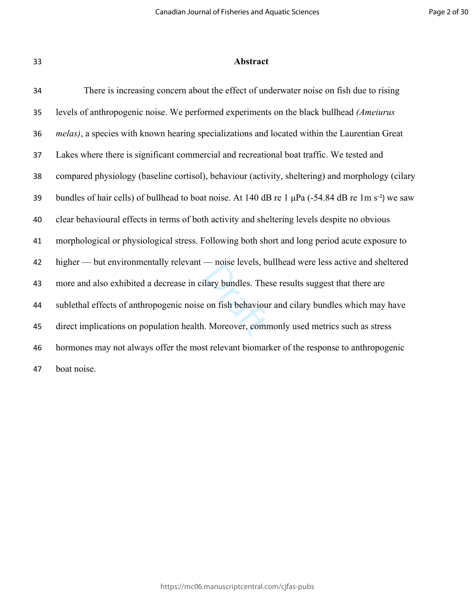#### **Abstract**

lary bundles. The<br>lary bundles. The<br>on fish behaviou<br>Moreover, comm There is increasing concern about the effect of underwater noise on fish due to rising levels of anthropogenic noise. We performed experiments on the black bullhead *(Ameiurus melas)*, a species with known hearing specializations and located within the Laurentian Great Lakes where there is significant commercial and recreational boat traffic. We tested and compared physiology (baseline cortisol), behaviour (activity, sheltering) and morphology (cilary 39 bundles of hair cells) of bullhead to boat noise. At 140 dB re 1  $\mu$ Pa (-54.84 dB re 1m s<sup>-2</sup>) we saw clear behavioural effects in terms of both activity and sheltering levels despite no obvious morphological or physiological stress. Following both short and long period acute exposure to higher — but environmentally relevant — noise levels, bullhead were less active and sheltered more and also exhibited a decrease in cilary bundles. These results suggest that there are sublethal effects of anthropogenic noise on fish behaviour and cilary bundles which may have direct implications on population health. Moreover, commonly used metrics such as stress hormones may not always offer the most relevant biomarker of the response to anthropogenic boat noise.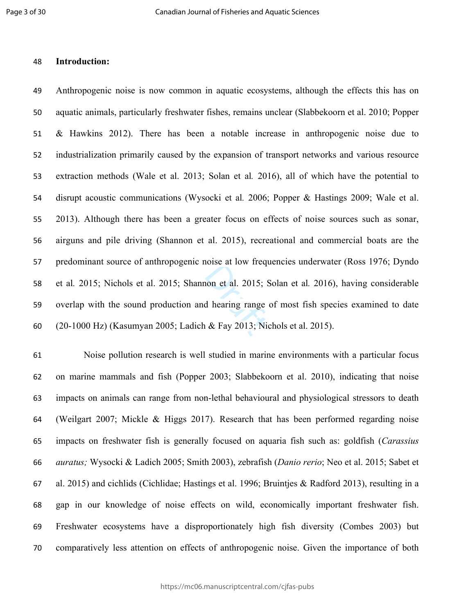#### **Introduction:**

non et al. 2015; Starting range<br>d hearing range<br>& Fay 2013; Ni Anthropogenic noise is now common in aquatic ecosystems, although the effects this has on aquatic animals, particularly freshwater fishes, remains unclear (Slabbekoorn et al. 2010; Popper & Hawkins 2012). There has been a notable increase in anthropogenic noise due to industrialization primarily caused by the expansion of transport networks and various resource extraction methods (Wale et al. 2013; Solan et al*.* 2016), all of which have the potential to disrupt acoustic communications (Wysocki et al*.* 2006; Popper & Hastings 2009; Wale et al. 2013). Although there has been a greater focus on effects of noise sources such as sonar, airguns and pile driving (Shannon et al. 2015), recreational and commercial boats are the predominant source of anthropogenic noise at low frequencies underwater (Ross 1976; Dyndo et al*.* 2015; Nichols et al. 2015; Shannon et al. 2015; Solan et al*.* 2016), having considerable overlap with the sound production and hearing range of most fish species examined to date (20-1000 Hz) (Kasumyan 2005; Ladich & Fay 2013; Nichols et al. 2015).

 Noise pollution research is well studied in marine environments with a particular focus on marine mammals and fish (Popper 2003; Slabbekoorn et al. 2010), indicating that noise impacts on animals can range from non-lethal behavioural and physiological stressors to death (Weilgart 2007; Mickle & Higgs 2017). Research that has been performed regarding noise impacts on freshwater fish is generally focused on aquaria fish such as: goldfish (*Carassius auratus;* Wysocki & Ladich 2005; Smith 2003), zebrafish (*Danio rerio*; Neo et al. 2015; Sabet et al. 2015) and cichlids (Cichlidae; Hastings et al. 1996; Bruintjes & Radford 2013), resulting in a gap in our knowledge of noise effects on wild, economically important freshwater fish. Freshwater ecosystems have a disproportionately high fish diversity (Combes 2003) but comparatively less attention on effects of anthropogenic noise. Given the importance of both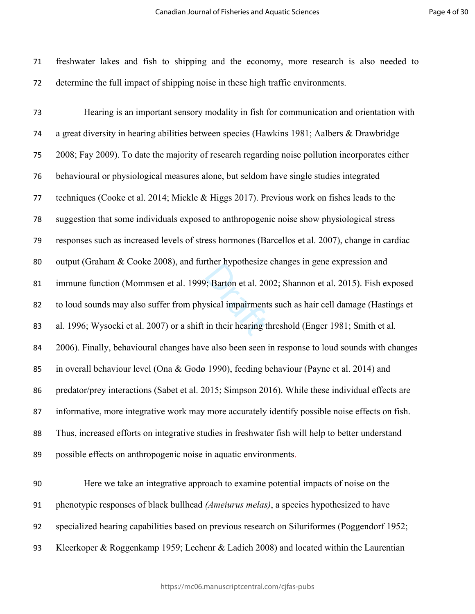freshwater lakes and fish to shipping and the economy, more research is also needed to determine the full impact of shipping noise in these high traffic environments.

extending to the distribution of the same size of the space of the theorem in their hearing that Hearing is an important sensory modality in fish for communication and orientation with a great diversity in hearing abilities between species (Hawkins 1981; Aalbers & Drawbridge 2008; Fay 2009). To date the majority of research regarding noise pollution incorporates either behavioural or physiological measures alone, but seldom have single studies integrated techniques (Cooke et al. 2014; Mickle & Higgs 2017). Previous work on fishes leads to the suggestion that some individuals exposed to anthropogenic noise show physiological stress responses such as increased levels of stress hormones (Barcellos et al. 2007), change in cardiac output (Graham & Cooke 2008), and further hypothesize changes in gene expression and immune function (Mommsen et al. 1999; Barton et al. 2002; Shannon et al. 2015). Fish exposed to loud sounds may also suffer from physical impairments such as hair cell damage (Hastings et al. 1996; Wysocki et al. 2007) or a shift in their hearing threshold (Enger 1981; Smith et al*.*  2006). Finally, behavioural changes have also been seen in response to loud sounds with changes in overall behaviour level (Ona & Godø 1990), feeding behaviour (Payne et al. 2014) and predator/prey interactions (Sabet et al. 2015; Simpson 2016). While these individual effects are informative, more integrative work may more accurately identify possible noise effects on fish. Thus, increased efforts on integrative studies in freshwater fish will help to better understand possible effects on anthropogenic noise in aquatic environments.

 Here we take an integrative approach to examine potential impacts of noise on the phenotypic responses of black bullhead *(Ameiurus melas)*, a species hypothesized to have specialized hearing capabilities based on previous research on Siluriformes (Poggendorf 1952; Kleerkoper & Roggenkamp 1959; Lechenr & Ladich 2008) and located within the Laurentian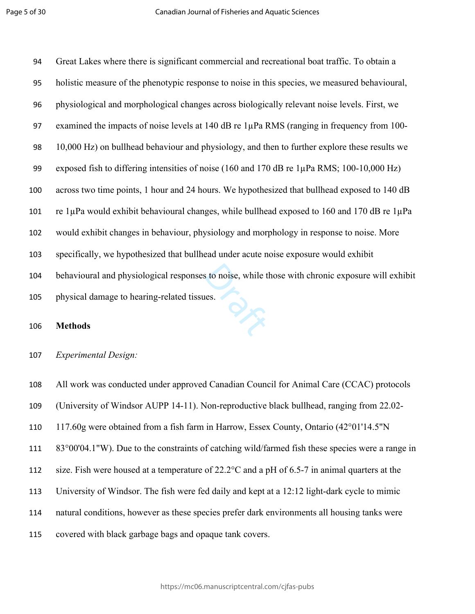$\frac{d}{dx}$  Great Lakes where there is significant commercial and recreational boat traffic. To obtain a holistic measure of the phenotypic response to noise in this species, we measured behavioural, physiological and morphological changes across biologically relevant noise levels. First, we 97 examined the impacts of noise levels at 140 dB re 1µPa RMS (ranging in frequency from 100- 10,000 Hz) on bullhead behaviour and physiology, and then to further explore these results we 99 exposed fish to differing intensities of noise (160 and 170 dB re 1µPa RMS; 100-10,000 Hz) across two time points, 1 hour and 24 hours. We hypothesized that bullhead exposed to 140 dB 101 re  $1\mu$ Pa would exhibit behavioural changes, while bullhead exposed to 160 and 170 dB re  $1\mu$ Pa would exhibit changes in behaviour, physiology and morphology in response to noise. More specifically, we hypothesized that bullhead under acute noise exposure would exhibit behavioural and physiological responses to noise, while those with chronic exposure will exhibit physical damage to hearing-related tissues.

#### **Methods**

#### *Experimental Design:*

 All work was conducted under approved Canadian Council for Animal Care (CCAC) protocols (University of Windsor AUPP 14-11). Non-reproductive black bullhead, ranging from 22.02- 117.60g were obtained from a fish farm in Harrow, Essex County, Ontario (42°01'14.5"N 83°00'04.1"W). Due to the constraints of catching wild/farmed fish these species were a range in size. Fish were housed at a temperature of 22.2°C and a pH of 6.5-7 in animal quarters at the University of Windsor. The fish were fed daily and kept at a 12:12 light-dark cycle to mimic natural conditions, however as these species prefer dark environments all housing tanks were covered with black garbage bags and opaque tank covers.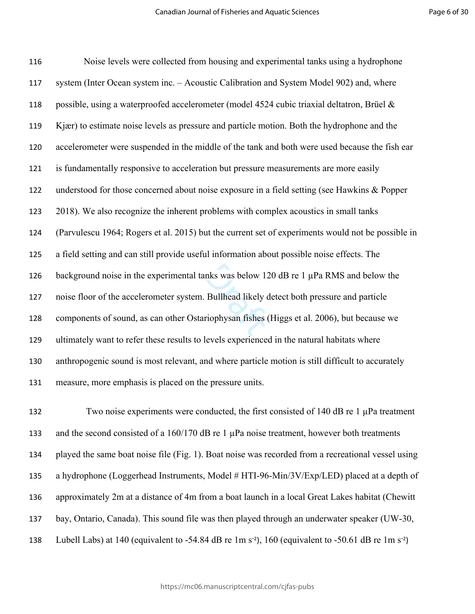nks was below 12<br>Bullhead likely of<br>priophysan fishes Noise levels were collected from housing and experimental tanks using a hydrophone system (Inter Ocean system inc. – Acoustic Calibration and System Model 902) and, where 118 possible, using a waterproofed accelerometer (model 4524 cubic triaxial deltatron, Brüel  $\&$  Kjær) to estimate noise levels as pressure and particle motion. Both the hydrophone and the accelerometer were suspended in the middle of the tank and both were used because the fish ear is fundamentally responsive to acceleration but pressure measurements are more easily understood for those concerned about noise exposure in a field setting (see Hawkins & Popper 2018). We also recognize the inherent problems with complex acoustics in small tanks (Parvulescu 1964; Rogers et al. 2015) but the current set of experiments would not be possible in a field setting and can still provide useful information about possible noise effects. The 126 background noise in the experimental tanks was below 120 dB re 1 µPa RMS and below the noise floor of the accelerometer system. Bullhead likely detect both pressure and particle components of sound, as can other Ostariophysan fishes (Higgs et al. 2006), but because we ultimately want to refer these results to levels experienced in the natural habitats where anthropogenic sound is most relevant, and where particle motion is still difficult to accurately measure, more emphasis is placed on the pressure units.

132 Two noise experiments were conducted, the first consisted of 140 dB re 1  $\mu$ Pa treatment and the second consisted of a 160/170 dB re 1 µPa noise treatment, however both treatments played the same boat noise file (Fig. 1). Boat noise was recorded from a recreational vessel using a hydrophone (Loggerhead Instruments, Model # HTI-96-Min/3V/Exp/LED) placed at a depth of approximately 2m at a distance of 4m from a boat launch in a local Great Lakes habitat (Chewitt bay, Ontario, Canada). This sound file was then played through an underwater speaker (UW-30, 138 Lubell Labs) at 140 (equivalent to -54.84 dB re 1m s<sup>-2</sup>), 160 (equivalent to -50.61 dB re 1m s<sup>-2</sup>)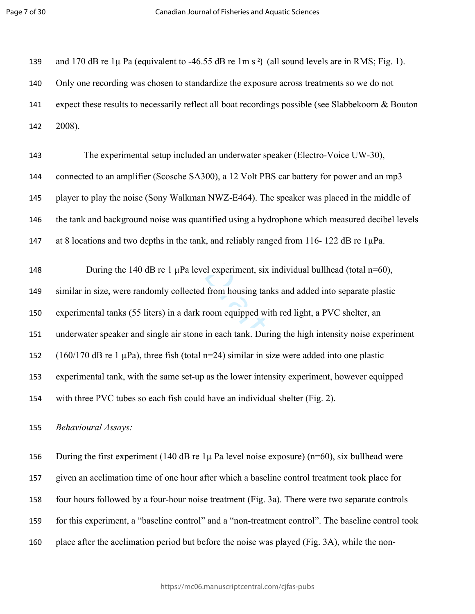139 and 170 dB re  $1\mu$  Pa (equivalent to -46.55 dB re  $1\text{m s}^{-2}$ ) (all sound levels are in RMS; Fig. 1). Only one recording was chosen to standardize the exposure across treatments so we do not expect these results to necessarily reflect all boat recordings possible (see Slabbekoorn & Bouton 2008).

 The experimental setup included an underwater speaker (Electro-Voice UW-30), connected to an amplifier (Scosche SA300), a 12 Volt PBS car battery for power and an mp3 player to play the noise (Sony Walkman NWZ-E464). The speaker was placed in the middle of the tank and background noise was quantified using a hydrophone which measured decibel levels 147 at 8 locations and two depths in the tank, and reliably ranged from 116-122 dB re 1µPa.

el experiment, six<br>from housing tar<br>com equipped with<br>in each tank. Dure 148 During the 140 dB re 1 uPa level experiment, six individual bullhead (total n=60), similar in size, were randomly collected from housing tanks and added into separate plastic experimental tanks (55 liters) in a dark room equipped with red light, a PVC shelter, an underwater speaker and single air stone in each tank. During the high intensity noise experiment (160/170 dB re 1 µPa), three fish (total n=24) similar in size were added into one plastic experimental tank, with the same set-up as the lower intensity experiment, however equipped with three PVC tubes so each fish could have an individual shelter (Fig. 2).

*Behavioural Assays:* 

156 During the first experiment (140 dB re  $1\mu$  Pa level noise exposure) (n=60), six bullhead were given an acclimation time of one hour after which a baseline control treatment took place for four hours followed by a four-hour noise treatment (Fig. 3a). There were two separate controls for this experiment, a "baseline control" and a "non-treatment control". The baseline control took place after the acclimation period but before the noise was played (Fig. 3A), while the non-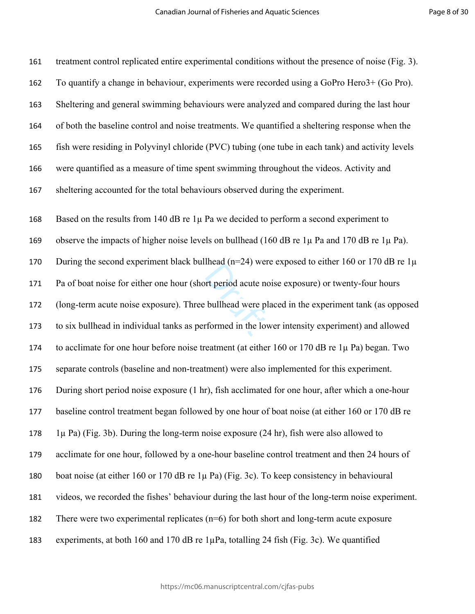$P$  acute not<br>bullhead were pl<br>formed in the lov treatment control replicated entire experimental conditions without the presence of noise (Fig. 3). To quantify a change in behaviour, experiments were recorded using a GoPro Hero3+ (Go Pro). Sheltering and general swimming behaviours were analyzed and compared during the last hour of both the baseline control and noise treatments. We quantified a sheltering response when the fish were residing in Polyvinyl chloride (PVC) tubing (one tube in each tank) and activity levels were quantified as a measure of time spent swimming throughout the videos. Activity and sheltering accounted for the total behaviours observed during the experiment. Based on the results from 140 dB re 1µ Pa we decided to perform a second experiment to observe the impacts of higher noise levels on bullhead (160 dB re 1µ Pa and 170 dB re 1µ Pa). 170 During the second experiment black bullhead ( $n=24$ ) were exposed to either 160 or 170 dB re 1 $\mu$  Pa of boat noise for either one hour (short period acute noise exposure) or twenty-four hours (long-term acute noise exposure). Three bullhead were placed in the experiment tank (as opposed to six bullhead in individual tanks as performed in the lower intensity experiment) and allowed to acclimate for one hour before noise treatment (at either 160 or 170 dB re 1µ Pa) began. Two separate controls (baseline and non-treatment) were also implemented for this experiment. During short period noise exposure (1 hr), fish acclimated for one hour, after which a one-hour baseline control treatment began followed by one hour of boat noise (at either 160 or 170 dB re 178 1 $\mu$  Pa) (Fig. 3b). During the long-term noise exposure (24 hr), fish were also allowed to acclimate for one hour, followed by a one-hour baseline control treatment and then 24 hours of boat noise (at either 160 or 170 dB re 1µ Pa) (Fig. 3c). To keep consistency in behavioural videos, we recorded the fishes' behaviour during the last hour of the long-term noise experiment. There were two experimental replicates (n=6) for both short and long-term acute exposure experiments, at both 160 and 170 dB re 1µPa, totalling 24 fish (Fig. 3c). We quantified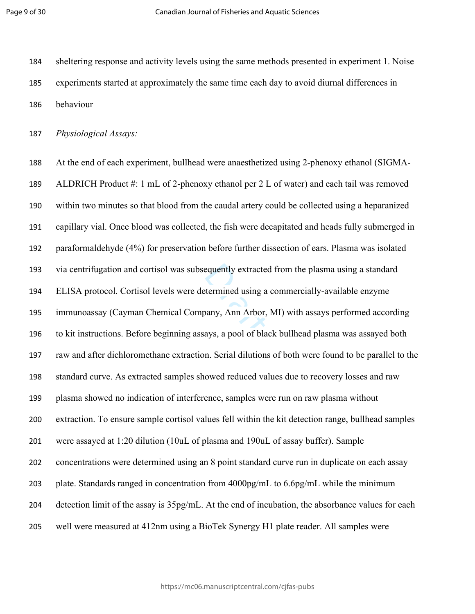sheltering response and activity levels using the same methods presented in experiment 1. Noise experiments started at approximately the same time each day to avoid diurnal differences in behaviour

*Physiological Assays:*

Exemently extracted<br>
Extermined using a<br>
bany, Ann Arbor,<br>
avs. a pool of bla At the end of each experiment, bullhead were anaesthetized using 2-phenoxy ethanol (SIGMA- ALDRICH Product #: 1 mL of 2-phenoxy ethanol per 2 L of water) and each tail was removed within two minutes so that blood from the caudal artery could be collected using a heparanized capillary vial. Once blood was collected, the fish were decapitated and heads fully submerged in paraformaldehyde (4%) for preservation before further dissection of ears. Plasma was isolated via centrifugation and cortisol was subsequently extracted from the plasma using a standard ELISA protocol. Cortisol levels were determined using a commercially-available enzyme immunoassay (Cayman Chemical Company, Ann Arbor, MI) with assays performed according to kit instructions. Before beginning assays, a pool of black bullhead plasma was assayed both raw and after dichloromethane extraction. Serial dilutions of both were found to be parallel to the standard curve. As extracted samples showed reduced values due to recovery losses and raw plasma showed no indication of interference, samples were run on raw plasma without extraction. To ensure sample cortisol values fell within the kit detection range, bullhead samples were assayed at 1:20 dilution (10uL of plasma and 190uL of assay buffer). Sample concentrations were determined using an 8 point standard curve run in duplicate on each assay plate. Standards ranged in concentration from 4000pg/mL to 6.6pg/mL while the minimum detection limit of the assay is 35pg/mL. At the end of incubation, the absorbance values for each well were measured at 412nm using a BioTek Synergy H1 plate reader. All samples were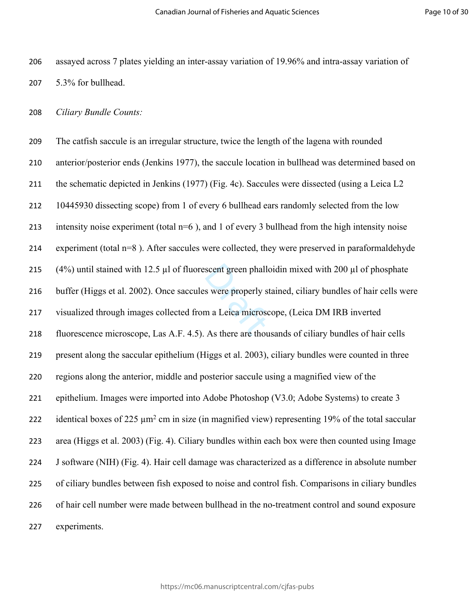assayed across 7 plates yielding an inter-assay variation of 19.96% and intra-assay variation of 5.3% for bullhead.

*Ciliary Bundle Counts:* 

(4%) until stained with 12.5  $\mu$ l of fluorescent green phalloidin mixed with 200  $\mu$ l of phosphate<br>216 buffer (Higgs et al. 2002). Once saccules were properly stained, ciliary bundles of hair cells we<br>217 visualized thr The catfish saccule is an irregular structure, twice the length of the lagena with rounded anterior/posterior ends (Jenkins 1977), the saccule location in bullhead was determined based on the schematic depicted in Jenkins (1977) (Fig. 4c). Saccules were dissected (using a Leica L2 10445930 dissecting scope) from 1 of every 6 bullhead ears randomly selected from the low intensity noise experiment (total n=6 ), and 1 of every 3 bullhead from the high intensity noise experiment (total n=8 ). After saccules were collected, they were preserved in paraformaldehyde buffer (Higgs et al. 2002). Once saccules were properly stained, ciliary bundles of hair cells were visualized through images collected from a Leica microscope, (Leica DM IRB inverted fluorescence microscope, Las A.F. 4.5). As there are thousands of ciliary bundles of hair cells present along the saccular epithelium (Higgs et al. 2003), ciliary bundles were counted in three regions along the anterior, middle and posterior saccule using a magnified view of the epithelium. Images were imported into Adobe Photoshop (V3.0; Adobe Systems) to create 3 222 identical boxes of 225  $\mu$ m<sup>2</sup> cm in size (in magnified view) representing 19% of the total saccular area (Higgs et al. 2003) (Fig. 4). Ciliary bundles within each box were then counted using Image J software (NIH) (Fig. 4). Hair cell damage was characterized as a difference in absolute number of ciliary bundles between fish exposed to noise and control fish. Comparisons in ciliary bundles of hair cell number were made between bullhead in the no-treatment control and sound exposure experiments.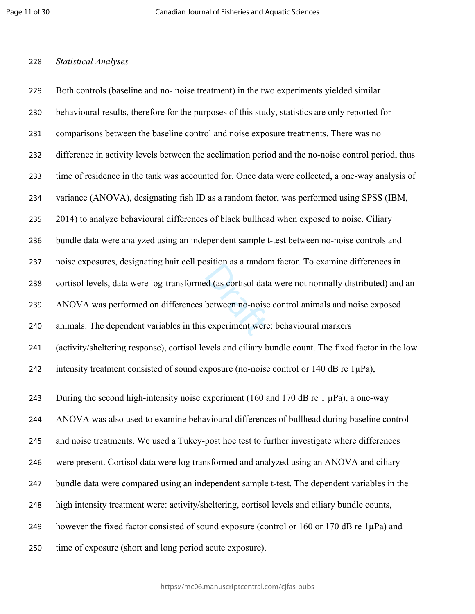#### *Statistical Analyses*

experiment were<br>experiment were Both controls (baseline and no- noise treatment) in the two experiments yielded similar behavioural results, therefore for the purposes of this study, statistics are only reported for comparisons between the baseline control and noise exposure treatments. There was no difference in activity levels between the acclimation period and the no-noise control period, thus time of residence in the tank was accounted for. Once data were collected, a one-way analysis of variance (ANOVA), designating fish ID as a random factor, was performed using SPSS (IBM, 2014) to analyze behavioural differences of black bullhead when exposed to noise. Ciliary bundle data were analyzed using an independent sample t-test between no-noise controls and noise exposures, designating hair cell position as a random factor. To examine differences in cortisol levels, data were log-transformed (as cortisol data were not normally distributed) and an ANOVA was performed on differences between no-noise control animals and noise exposed animals. The dependent variables in this experiment were: behavioural markers (activity/sheltering response), cortisol levels and ciliary bundle count. The fixed factor in the low 242 intensity treatment consisted of sound exposure (no-noise control or dB re  $1\mu$ Pa), 243 During the second high-intensity noise experiment (160 and 170 dB re 1  $\mu$ Pa), a one-way

ANOVA was also used to examine behavioural differences of bullhead during baseline control

and noise treatments. We used a Tukey-post hoc test to further investigate where differences

were present. Cortisol data were log transformed and analyzed using an ANOVA and ciliary

bundle data were compared using an independent sample t-test. The dependent variables in the

- high intensity treatment were: activity/sheltering, cortisol levels and ciliary bundle counts,
- 249 however the fixed factor consisted of sound exposure (control or 160 or 170 dB re 1µPa) and
- time of exposure (short and long period acute exposure).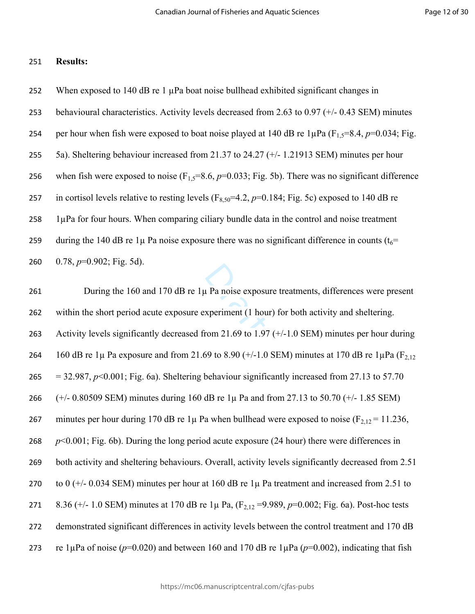#### 251 **Results:**

252 When exposed to 140 dB re 1  $\mu$ Pa boat noise bullhead exhibited significant changes in 253 behavioural characteristics. Activity levels decreased from 2.63 to 0.97 (+/- 0.43 SEM) minutes 254 per hour when fish were exposed to boat noise played at 140 dB re  $1 \mu Pa$  (F<sub>15</sub>=8.4, *p*=0.034; Fig. 255 5a). Sheltering behaviour increased from 21.37 to 24.27 (+/- 1.21913 SEM) minutes per hour 256 when fish were exposed to noise  $(F_{1,5}=8.6, p=0.033;$  Fig. 5b). There was no significant difference 257 in cortisol levels relative to resting levels  $(F_{8,50} = 4.2, p=0.184; Fig. 5c)$  exposed to 140 dB re  $258$  1 $\mu$ Pa for four hours. When comparing ciliary bundle data in the control and noise treatment 259 during the 140 dB re 1 $\mu$  Pa noise exposure there was no significant difference in counts ( $t_6$ = 260 0.78, *p*=0.902; Fig. 5d).

 $\mu$  Pa noise exposu<br>xperiment (1 hou 261 During the 160 and 170 dB re  $1\mu$  Pa noise exposure treatments, differences were present 262 within the short period acute exposure experiment (1 hour) for both activity and sheltering. 263 Activity levels significantly decreased from 21.69 to 1.97 ( $+/-1.0$  SEM) minutes per hour during 264 160 dB re 1 $\mu$  Pa exposure and from 21.69 to 8.90 (+/-1.0 SEM) minutes at 170 dB re 1 $\mu$ Pa (F<sub>2,12</sub>) 265 = 32.987,  $p<0.001$ ; Fig. 6a). Sheltering behaviour significantly increased from 27.13 to 57.70 266 (+/- 0.80509 SEM) minutes during 160 dB re 1µ Pa and from 27.13 to 50.70 (+/- 1.85 SEM) 267 minutes per hour during 170 dB re 1 $\mu$  Pa when bullhead were exposed to noise (F<sub>2,12</sub> = 11.236, 268 *p*<0.001; Fig. 6b). During the long period acute exposure (24 hour) there were differences in 269 both activity and sheltering behaviours. Overall, activity levels significantly decreased from 2.51 270 to 0 ( $+/-$  0.034 SEM) minutes per hour at 160 dB re  $1\mu$  Pa treatment and increased from 2.51 to 271 8.36 (+/- 1.0 SEM) minutes at 170 dB re 1µ Pa, (F2,12 =9.989, *p*=0.002; Fig. 6a). Post-hoc tests 272 demonstrated significant differences in activity levels between the control treatment and 170 dB 273 re 1 $\mu$ Pa of noise ( $p=0.020$ ) and between 160 and 170 dB re 1 $\mu$ Pa ( $p=0.002$ ), indicating that fish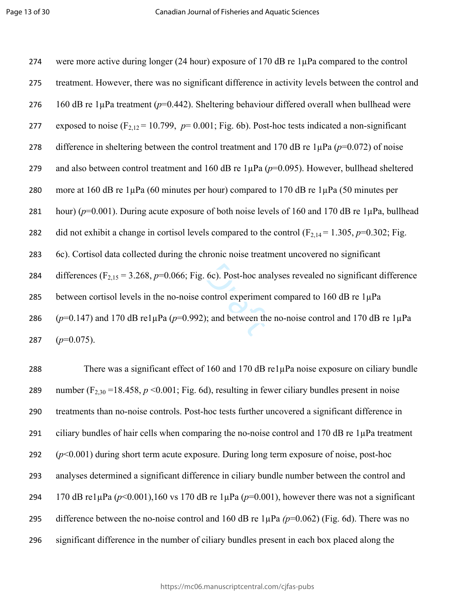6c). Post-hoc ana<br>ontrol experimen<br>i; and between the 274 were more active during longer (24 hour) exposure of 170 dB re 1µPa compared to the control 275 treatment. However, there was no significant difference in activity levels between the control and 276 160 dB re 1 $\mu$ Pa treatment ( $p=0.442$ ). Sheltering behaviour differed overall when bullhead were 277 exposed to noise  $(F_{2,12} = 10.799, p = 0.001; Fig. 6b)$ . Post-hoc tests indicated a non-significant 278 difference in sheltering between the control treatment and 170 dB re  $1\mu$ Pa ( $p=0.072$ ) of noise 279 and also between control treatment and 160 dB re 1µPa (*p*=0.095). However, bullhead sheltered 280 more at 160 dB re 1µPa (60 minutes per hour) compared to 170 dB re 1µPa (50 minutes per 281 hour) (*p*=0.001). During acute exposure of both noise levels of 160 and 170 dB re 1µPa, bullhead 282 did not exhibit a change in cortisol levels compared to the control  $(F_{2,14} = 1.305, p=0.302;$  Fig. 283 6c). Cortisol data collected during the chronic noise treatment uncovered no significant 284 differences  $(F_{2,15} = 3.268, p=0.066;$  Fig. 6c). Post-hoc analyses revealed no significant difference 285 between cortisol levels in the no-noise control experiment compared to 160 dB re  $1\mu$ Pa 286  $(p=0.147)$  and 170 dB re1 $\mu$ Pa ( $p=0.992$ ); and between the no-noise control and 170 dB re 1 $\mu$ Pa 287  $(p=0.075)$ .

 There was a significant effect of 160 and 170 dB re1µPa noise exposure on ciliary bundle 289 number  $(F_{2,30} = 18.458, p \le 0.001;$  Fig. 6d), resulting in fewer ciliary bundles present in noise treatments than no-noise controls. Post-hoc tests further uncovered a significant difference in ciliary bundles of hair cells when comparing the no-noise control and 170 dB re 1µPa treatment (*p*<0.001) during short term acute exposure. During long term exposure of noise, post-hoc analyses determined a significant difference in ciliary bundle number between the control and 294 170 dB re1 $\mu$ Pa ( $p$ <0.001),160 vs 170 dB re 1 $\mu$ Pa ( $p$ =0.001), however there was not a significant difference between the no-noise control and 160 dB re 1µPa *(p*=0.062) (Fig. 6d). There was no significant difference in the number of ciliary bundles present in each box placed along the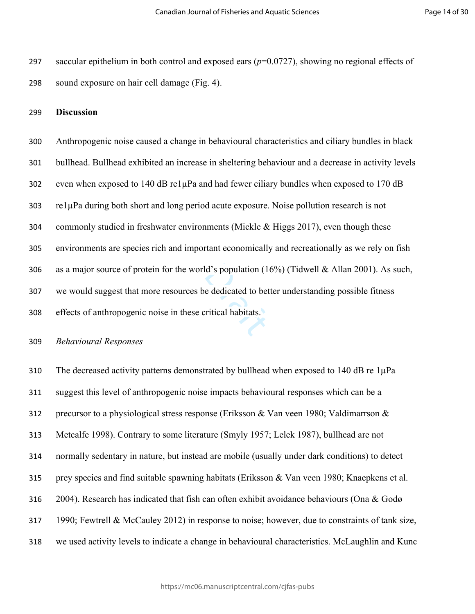saccular epithelium in both control and exposed ears (*p*=0.0727), showing no regional effects of sound exposure on hair cell damage (Fig. 4).

#### **Discussion**

d's population (1)<br>e dedicated to be<br>ritical habitats. Anthropogenic noise caused a change in behavioural characteristics and ciliary bundles in black bullhead. Bullhead exhibited an increase in sheltering behaviour and a decrease in activity levels even when exposed to 140 dB re1µPa and had fewer ciliary bundles when exposed to 170 dB re1µPa during both short and long period acute exposure. Noise pollution research is not commonly studied in freshwater environments (Mickle & Higgs 2017), even though these environments are species rich and important economically and recreationally as we rely on fish as a major source of protein for the world's population (16%) (Tidwell & Allan 2001). As such, we would suggest that more resources be dedicated to better understanding possible fitness effects of anthropogenic noise in these critical habitats.

#### *Behavioural Responses*

310 The decreased activity patterns demonstrated by bullhead when exposed to 140 dB re 1µPa suggest this level of anthropogenic noise impacts behavioural responses which can be a precursor to a physiological stress response (Eriksson & Van veen 1980; Valdimarrson & Metcalfe 1998). Contrary to some literature (Smyly 1957; Lelek 1987), bullhead are not normally sedentary in nature, but instead are mobile (usually under dark conditions) to detect prey species and find suitable spawning habitats (Eriksson & Van veen 1980; Knaepkens et al. 2004). Research has indicated that fish can often exhibit avoidance behaviours (Ona & Godø 1990; Fewtrell & McCauley 2012) in response to noise; however, due to constraints of tank size, we used activity levels to indicate a change in behavioural characteristics. McLaughlin and Kunc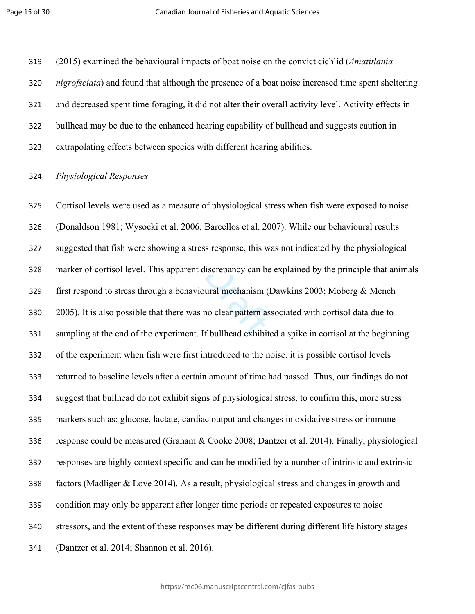(2015) examined the behavioural impacts of boat noise on the convict cichlid (*Amatitlania nigrofsciata*) and found that although the presence of a boat noise increased time spent sheltering and decreased spent time foraging, it did not alter their overall activity level. Activity effects in bullhead may be due to the enhanced hearing capability of bullhead and suggests caution in extrapolating effects between species with different hearing abilities.

#### *Physiological Responses*

marker of cortisol level. This apparent discrepancy can be explained by the principle that animals<br>
329 first respond to stress through a behavioural mechanism (Dawkins 2003; Moberg & Mench<br>
330 2005). It is also possible Cortisol levels were used as a measure of physiological stress when fish were exposed to noise (Donaldson 1981; Wysocki et al. 2006; Barcellos et al. 2007). While our behavioural results suggested that fish were showing a stress response, this was not indicated by the physiological first respond to stress through a behavioural mechanism (Dawkins 2003; Moberg & Mench 2005). It is also possible that there was no clear pattern associated with cortisol data due to sampling at the end of the experiment. If bullhead exhibited a spike in cortisol at the beginning of the experiment when fish were first introduced to the noise, it is possible cortisol levels returned to baseline levels after a certain amount of time had passed. Thus, our findings do not suggest that bullhead do not exhibit signs of physiological stress, to confirm this, more stress markers such as: glucose, lactate, cardiac output and changes in oxidative stress or immune response could be measured (Graham & Cooke 2008; Dantzer et al. 2014). Finally, physiological responses are highly context specific and can be modified by a number of intrinsic and extrinsic factors (Madliger & Love 2014). As a result, physiological stress and changes in growth and condition may only be apparent after longer time periods or repeated exposures to noise stressors, and the extent of these responses may be different during different life history stages (Dantzer et al. 2014; Shannon et al. 2016).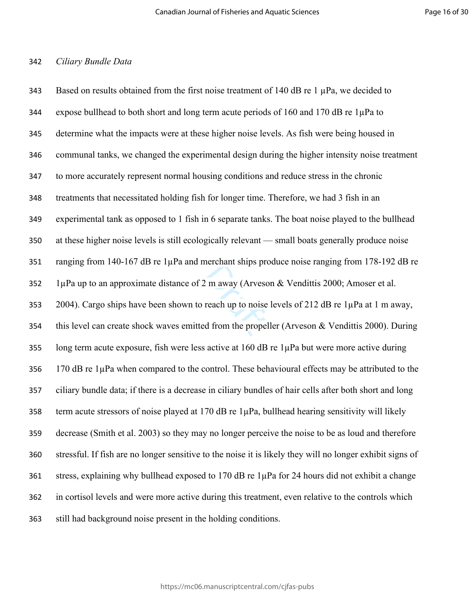#### *Ciliary Bundle Data*

2. m away (Arvescherchant Sinps projectors):<br>reach up to noise<br>d from the propel 343 Based on results obtained from the first noise treatment of 140 dB re 1  $\mu$ Pa, we decided to expose bullhead to both short and long term acute periods of 160 and 170 dB re 1µPa to determine what the impacts were at these higher noise levels. As fish were being housed in communal tanks, we changed the experimental design during the higher intensity noise treatment to more accurately represent normal housing conditions and reduce stress in the chronic treatments that necessitated holding fish for longer time. Therefore, we had 3 fish in an experimental tank as opposed to 1 fish in 6 separate tanks. The boat noise played to the bullhead at these higher noise levels is still ecologically relevant — small boats generally produce noise ranging from 140-167 dB re 1µPa and merchant ships produce noise ranging from 178-192 dB re 352 1µPa up to an approximate distance of 2 m away (Arveson & Vendittis 2000; Amoser et al. 2004). Cargo ships have been shown to reach up to noise levels of 212 dB re 1µPa at 1 m away, this level can create shock waves emitted from the propeller (Arveson & Vendittis 2000). During long term acute exposure, fish were less active at 160 dB re 1µPa but were more active during 170 dB re 1µPa when compared to the control. These behavioural effects may be attributed to the ciliary bundle data; if there is a decrease in ciliary bundles of hair cells after both short and long term acute stressors of noise played at 170 dB re 1µPa, bullhead hearing sensitivity will likely decrease (Smith et al. 2003) so they may no longer perceive the noise to be as loud and therefore stressful. If fish are no longer sensitive to the noise it is likely they will no longer exhibit signs of stress, explaining why bullhead exposed to 170 dB re 1µPa for 24 hours did not exhibit a change in cortisol levels and were more active during this treatment, even relative to the controls which still had background noise present in the holding conditions.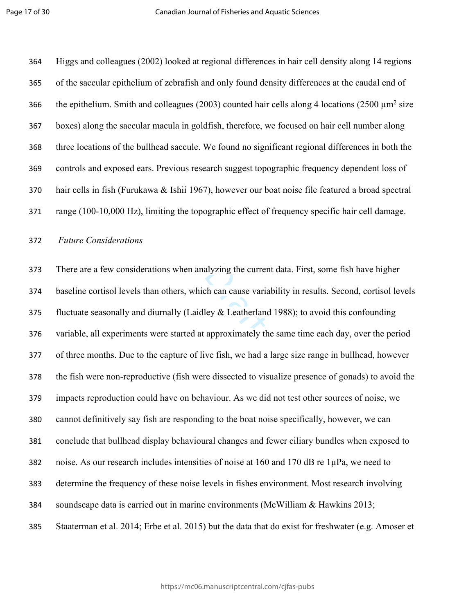Higgs and colleagues (2002) looked at regional differences in hair cell density along 14 regions of the saccular epithelium of zebrafish and only found density differences at the caudal end of 366 the epithelium. Smith and colleagues (2003) counted hair cells along 4 locations (2500  $\mu$ m<sup>2</sup> size boxes) along the saccular macula in goldfish, therefore, we focused on hair cell number along three locations of the bullhead saccule. We found no significant regional differences in both the controls and exposed ears. Previous research suggest topographic frequency dependent loss of hair cells in fish (Furukawa & Ishii 1967), however our boat noise file featured a broad spectral range (100-10,000 Hz), limiting the topographic effect of frequency specific hair cell damage.

#### *Future Considerations*

alyzing the currer<br>
ch can cause varia<br>
ley & Leatherland<br>
approximately the There are a few considerations when analyzing the current data. First, some fish have higher baseline cortisol levels than others, which can cause variability in results. Second, cortisol levels 375 fluctuate seasonally and diurnally (Laidley  $&$  Leatherland 1988); to avoid this confounding variable, all experiments were started at approximately the same time each day, over the period of three months. Due to the capture of live fish, we had a large size range in bullhead, however the fish were non-reproductive (fish were dissected to visualize presence of gonads) to avoid the impacts reproduction could have on behaviour. As we did not test other sources of noise, we cannot definitively say fish are responding to the boat noise specifically, however, we can conclude that bullhead display behavioural changes and fewer ciliary bundles when exposed to noise. As our research includes intensities of noise at 160 and 170 dB re 1µPa, we need to determine the frequency of these noise levels in fishes environment. Most research involving soundscape data is carried out in marine environments (McWilliam & Hawkins 2013; Staaterman et al. 2014; Erbe et al. 2015) but the data that do exist for freshwater (e.g. Amoser et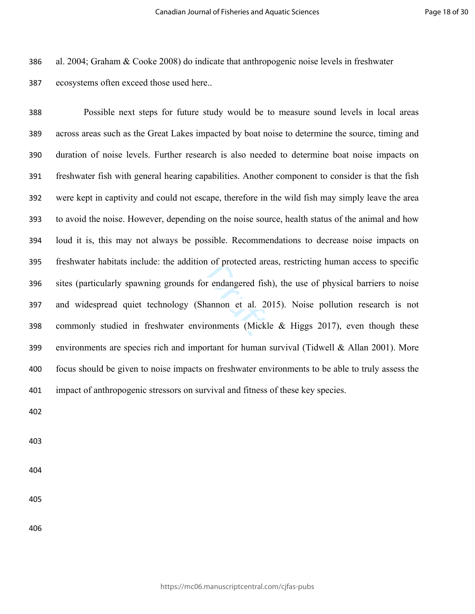al. 2004; Graham & Cooke 2008) do indicate that anthropogenic noise levels in freshwater

ecosystems often exceed those used here..

r endangered fish<br>nannon et al. 20<br>ronments (Mickl Possible next steps for future study would be to measure sound levels in local areas across areas such as the Great Lakes impacted by boat noise to determine the source, timing and duration of noise levels. Further research is also needed to determine boat noise impacts on freshwater fish with general hearing capabilities. Another component to consider is that the fish were kept in captivity and could not escape, therefore in the wild fish may simply leave the area to avoid the noise. However, depending on the noise source, health status of the animal and how loud it is, this may not always be possible. Recommendations to decrease noise impacts on freshwater habitats include: the addition of protected areas, restricting human access to specific sites (particularly spawning grounds for endangered fish), the use of physical barriers to noise and widespread quiet technology (Shannon et al. 2015). Noise pollution research is not commonly studied in freshwater environments (Mickle & Higgs 2017), even though these environments are species rich and important for human survival (Tidwell & Allan 2001). More focus should be given to noise impacts on freshwater environments to be able to truly assess the impact of anthropogenic stressors on survival and fitness of these key species.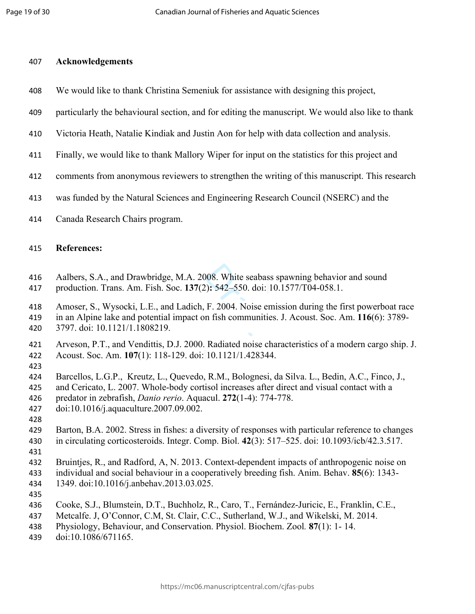#### **Acknowledgements**

- We would like to thank Christina Semeniuk for assistance with designing this project,
- particularly the behavioural section, and for editing the manuscript. We would also like to thank
- Victoria Heath, Natalie Kindiak and Justin Aon for help with data collection and analysis.
- Finally, we would like to thank Mallory Wiper for input on the statistics for this project and
- comments from anonymous reviewers to strengthen the writing of this manuscript. This research
- was funded by the Natural Sciences and Engineering Research Council (NSERC) and the
- Canada Research Chairs program.

#### **References:**

- Aalbers, S.A., and Drawbridge, M.A. 2008. White seabass spawning behavior and sound
- production. Trans. Am. Fish. Soc. **137**(2)**:** 542–550. doi: 10.1577/T04-058.1.
- Amoser, S., Wysocki, L.E., and Ladich, F. 2004. Noise emission during the first powerboat race
- 008. White seabas<br>(a): 542–550. doi:<br>F. 2004. Noise en fish communities in an Alpine lake and potential impact on fish communities. J. Acoust. Soc. Am. **116**(6): 3789- 3797. doi: 10.1121/1.1808219.
- Arveson, P.T., and Vendittis, D.J. 2000. Radiated noise characteristics of a modern cargo ship. J. Acoust. Soc. Am. **107**(1): 118-129. doi: 10.1121/1.428344.
- 
- Barcellos, L.G.P., [Kreutz, L., Quevedo, R.M., B](http://www.sciencedirect.com/science/article/pii/S0044848607009039)olognesi, da Silva. L., [Bedin, A.C., Finco, J.,](http://www.sciencedirect.com/science/article/pii/S0044848607009039)
- [and Cericato, L](http://www.sciencedirect.com/science/article/pii/S0044848607009039). 2007. Whole-body cortisol increases after direct and visual contact with a
- predator in zebrafish, *Danio rerio*. Aquacul. **272**(1-4): 774-778.
- doi:10.1016/j.aquaculture.2007.09.002.
- 
- Barton, B.A. 2002. Stress in fishes: a diversity of responses with particular reference to changes in circulating corticosteroids. Integr. Comp. Biol. **42**(3): 517–525. doi: [10.1093/icb/42.3.517](https://doi.org/10.1093/icb/42.3.517).
- 
- Bruintjes, R., and Radford, A, N. 2013. Context-dependent impacts of anthropogenic noise on
- individual and social behaviour in a cooperatively breeding fish. Anim. Behav. **85**(6): 1343- 1349. doi:10.1016/j.anbehav.2013.03.025.
- 
- Cooke, S.J., Blumstein, D.T., Buchholz, R., Caro, T., Fernández-Juricic, E., Franklin, C.E.,
- Metcalfe. J, O'Connor, C.M, St. Clair, C.C., Sutherland, W.J., and Wikelski, M. 2014.
- Physiology, Behaviour, and Conservation. Physiol. Biochem. Zool*.* **87**(1): 1- 14.
- [doi:10.1086/671165.](https://doi.org/10.1086/671165)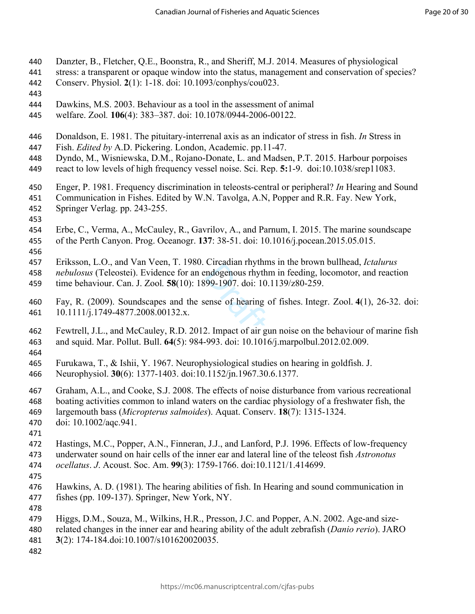- Danzter, B., Fletcher, Q.E., Boonstra, R., and Sheriff, M.J. 2014. Measures of physiological
- stress: a transparent or opaque window into the status, management and conservation of species?
- Conserv. Physiol. **2**(1): 1-18. doi: 10.1093/conphys/cou023.
- 
- Dawkins, M.S. 2003. Behaviour as a tool in the assessment of animal
- welfare. Zool*.* **106**(4): 383–387. doi: [10.1078/0944-2006-00122.](https://doi.org/10.1078/0944-2006-00122)
- Donaldson, E. 1981. The pituitary-interrenal axis as an indicator of stress in fish. *In* Stress in
- Fish. *Edited by* A.D. Pickering. London, Academic. pp.11-47.
- Dyndo, M., Wisniewska, D.M., Rojano-Donate, L. and Madsen, P.T. 2015. Harbour porpoises
- react to low levels of high frequency vessel noise. Sci. Rep. **5:**1-9. doi:10.1038/srep11083.
- Enger, P. 1981. Frequency discrimination in teleosts-central or peripheral? *In* Hearing and Sound
- Communication in Fishes. Edited by W.N. Tavolga, A.N, Popper and R.R. Fay. New York,
- Springer Verlag. pp. 243-255.
- 
- Erbe, C., Verma, A., McCauley, R., Gavrilov, A., and Parnum, I. 2015. The marine soundscape of the Perth Canyon. Prog. Oceanogr. **137**: 38-51. doi: 10.1016/j.pocean.2015.05.015.
- 

Eriksson, L.O., and Van Veen, T. 1980. Circadian rhythms in the brown bullhead, *Ictalurus* 

- 
- time behaviour. Can. J. Zool*.* **58**(10): 1899-1907. doi: 10.1139/z80-259.
- Eriksson, E.O., and Van Ven, 1. 1960. Cheadlen Hiyamis in the brown burnead, *Letturius*<br>
458 *nebulosus* (Teleostei). Evidence for an endogenous rhythm in feeding, locomotor, and reaction<br>
459 time behaviour. Can. J. Zool Fay, R. (2009). Soundscapes and the sense of hearing of fishes. Integr. Zool. **4**(1), 26-32. doi: 10.1111/j.1749-4877.2008.00132.x.
- Fewtrell, J.L., and McCauley, R.D. 2012. Impact of air gun noise on the behaviour of marine fish and squid. Mar. Pollut. Bull. **64**(5): 984-993. doi: 10.1016/j.marpolbul.2012.02.009.
- 
- Furukawa, T., & Ishii, Y. 1967. Neurophysiological studies on hearing in goldfish. J.
- Neurophysiol. **30**(6): 1377-1403. [doi:10.1152/jn.1967.30.6.1377.](https://doi.org/10.1152/jn.1967.30.6.1377)
- Graham, A.L., and Cooke, S.J. 2008. The effects of noise disturbance from various recreational
- boating activities common to inland waters on the cardiac physiology of a freshwater fish, the
- largemouth bass (*Micropterus salmoides*). Aquat. Conserv. **18**(7): 1315-1324.
- doi: 10.1002/aqc.941.
- 
- Hastings, M.C., Popper, A.N., Finneran, J.J., and Lanford, P.J. 1996. Effects of low-frequency underwater sound on hair cells of the inner ear and lateral line of the teleost fish *Astronotus*
- *ocellatus*. *J*. Acoust. Soc. Am. **99**(3): 1759-1766. doi:10.1121/1.414699.
- 
- Hawkins, A. D. (1981). The hearing abilities of fish. In Hearing and sound communication in fishes (pp. 109-137). Springer, New York, NY.
- 
- Higgs, D.M., Souza, M., Wilkins, H.R., Presson, J.C. and Popper, A.N. 2002. Age-and size-
- related changes in the inner ear and hearing ability of the adult zebrafish (*Danio rerio*). JARO **3**(2): 174-184.doi:10.1007/s101620020035.
-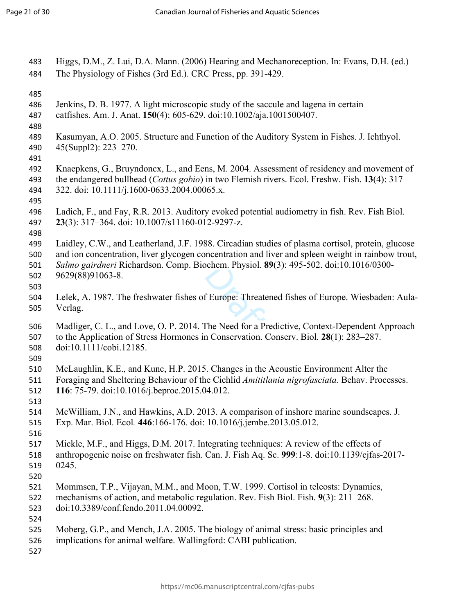| 483<br>484                      | Higgs, D.M., Z. Lui, D.A. Mann. (2006) Hearing and Mechanoreception. In: Evans, D.H. (ed.)<br>The Physiology of Fishes (3rd Ed.). CRC Press, pp. 391-429.                                                                                                                                                           |
|---------------------------------|---------------------------------------------------------------------------------------------------------------------------------------------------------------------------------------------------------------------------------------------------------------------------------------------------------------------|
| 485<br>486<br>487<br>488        | Jenkins, D. B. 1977. A light microscopic study of the saccule and lagena in certain<br>catfishes. Am. J. Anat. 150(4): 605-629. doi:10.1002/aja.1001500407.                                                                                                                                                         |
| 489<br>490<br>491               | Kasumyan, A.O. 2005. Structure and Function of the Auditory System in Fishes. J. Ichthyol.<br>45(Suppl2): 223-270.                                                                                                                                                                                                  |
| 492<br>493<br>494<br>495        | Knaepkens, G., Bruyndoncx, L., and Eens, M. 2004. Assessment of residency and movement of<br>the endangered bullhead ( <i>Cottus gobio</i> ) in two Flemish rivers. Ecol. Freshw. Fish. 13(4): 317–<br>322. doi: 10.1111/j.1600-0633.2004.00065.x.                                                                  |
| 496<br>497<br>498               | Ladich, F., and Fay, R.R. 2013. Auditory evoked potential audiometry in fish. Rev. Fish Biol.<br>23(3): 317-364. doi: 10.1007/s11160-012-9297-z.                                                                                                                                                                    |
| 499<br>500<br>501<br>502<br>503 | Laidley, C.W., and Leatherland, J.F. 1988. Circadian studies of plasma cortisol, protein, glucose<br>and ion concentration, liver glycogen concentration and liver and spleen weight in rainbow trout,<br>Salmo gairdneri Richardson. Comp. Biochem. Physiol. 89(3): 495-502. doi:10.1016/0300-<br>9629(88)91063-8. |
| 504<br>505                      | Lelek, A. 1987. The freshwater fishes of Europe: Threatened fishes of Europe. Wiesbaden: Aula-<br>Verlag.                                                                                                                                                                                                           |
| 506<br>507<br>508               | Madliger, C. L., and Love, O. P. 2014. The Need for a Predictive, Context-Dependent Approach<br>to the Application of Stress Hormones in Conservation. Conserv. Biol. 28(1): 283-287.<br>doi:10.1111/cobi.12185.                                                                                                    |
| 509<br>510<br>511<br>512        | McLaughlin, K.E., and Kunc, H.P. 2015. Changes in the Acoustic Environment Alter the<br>Foraging and Sheltering Behaviour of the Cichlid Amititlania nigrofasciata. Behav. Processes.<br>116: 75-79. doi:10.1016/j.beproc.2015.04.012.                                                                              |
| 513<br>514<br>515<br>516        | McWilliam, J.N., and Hawkins, A.D. 2013. A comparison of inshore marine soundscapes. J.<br>Exp. Mar. Biol. Ecol. 446:166-176. doi: 10.1016/j.jembe.2013.05.012.                                                                                                                                                     |
| 517<br>518<br>519<br>520        | Mickle, M.F., and Higgs, D.M. 2017. Integrating techniques: A review of the effects of<br>anthropogenic noise on freshwater fish. Can. J. Fish Aq. Sc. 999:1-8. doi:10.1139/cjfas-2017-<br>0245.                                                                                                                    |
| 521<br>522<br>523<br>524        | Mommsen, T.P., Vijayan, M.M., and Moon, T.W. 1999. Cortisol in teleosts: Dynamics,<br>mechanisms of action, and metabolic regulation. Rev. Fish Biol. Fish. 9(3): 211–268.<br>doi:10.3389/conf.fendo.2011.04.00092.                                                                                                 |
| 525<br>526<br>527               | Moberg, G.P., and Mench, J.A. 2005. The biology of animal stress: basic principles and<br>implications for animal welfare. Wallingford: CABI publication.                                                                                                                                                           |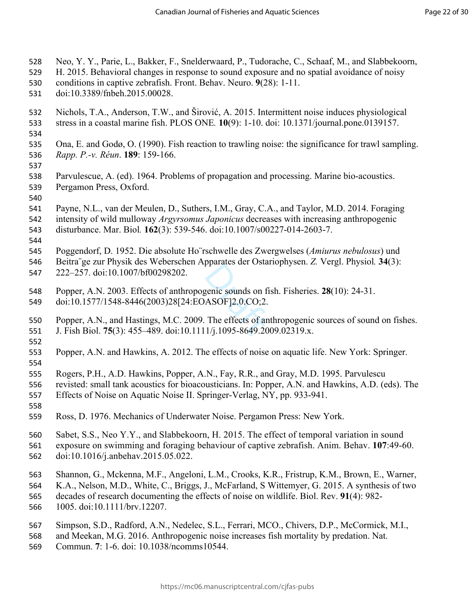- Neo, Y. Y., Parie, L., Bakker, F., Snelderwaard, P., Tudorache, C., Schaaf, M., and Slabbekoorn,
- H. 2015. Behavioral changes in response to sound exposure and no spatial avoidance of noisy
- conditions in captive zebrafish. Front. Behav. Neuro. **9**(28): 1-11.
- [doi:10.3389/fnbeh.2015.00028](https://doi.org/10.3389/fnbeh.2015.00028).
- Nichols, T.A., Anderson, T.W., and Širović, A. 2015. Intermittent noise induces physiological stress in a coastal marine fish. PLOS ONE*.* **10**(9): 1-10. doi: 10.1371/journal.pone.0139157.
- 
- Ona, E. and Godø, O. (1990). Fish reaction to trawling noise: the significance for trawl sampling. *Rapp. P.-v. Réun*. **189**: 159-166.
- 
- Parvulescue, A. (ed). 1964. Problems of propagation and processing. Marine bio-acoustics. Pergamon Press, Oxford.
- 
- Payne, N.L., van der Meulen, D., Suthers, I.M., Gray, C.A., and Taylor, M.D. 2014. Foraging
- intensity of wild mulloway *Argyrsomus Japonicus* decreases with increasing anthropogenic
- disturbance. Mar. Biol*.* **162**(3): 539-546. doi:10.1007/s00227-014-2603-7.
- 

Poggendorf, D. 1952. Die absolute Ho¨rschwelle des Zwergwelses (*Amiurus nebulosus*) und

- Beitra¨ge zur Physik des Weberschen Apparates der Ostariophysen. *Z.* Vergl. Physiol*.* **34**(3):
- 222–257. doi:10.1007/bf00298202.
- Popper, A.N. 2003. Effects of anthropogenic sounds on fish. Fisheries. **28**(10): 24-31.
- doi:10.1577/1548-8446(2003)28[24:EOASOF]2.0.CO;2.
- genic sounds on f<br>ASOF]2.0.CO;2.<br>The effects of an<br> $1/j.1095-8649.20$  Popper, A.N., and Hastings, M.C. 2009. The effects of anthropogenic sources of sound on fishes. J. Fish Biol. **75**(3): 455–489. doi:10.1111/j.1095-8649.2009.02319.x.
- Popper, A.N. and Hawkins, A. 2012. The effects of noise on aquatic life. New York: Springer.
- Rogers, P.H., A.D. Hawkins, Popper, A.N., Fay, R.R., and Gray, M.D. 1995. Parvulescu
- revisted: small tank acoustics for bioacousticians. In: Popper, A.N. and Hawkins, A.D. (eds). The
- Effects of Noise on Aquatic Noise II. Springer-Verlag, NY, pp. 933-941.
- 
- Ross, D. 1976. Mechanics of Underwater Noise. Pergamon Press: New York.
- Sabet, S.S., Neo Y.Y., and Slabbekoorn, H. 2015. The effect of temporal variation in sound
- exposure on swimming and foraging behaviour of captive zebrafish. Anim. Behav. **107**:49-60. doi:10.1016/j.anbehav.2015.05.022.
- Shannon, G., Mckenna, M.F., Angeloni, L.M., Crooks, K.R., Fristrup, K.M., Brown, E., Warner,
- K.A., Nelson, M.D., White, C., Briggs, J., McFarland, S Wittemyer, G. 2015. A synthesis of two
- decades of research documenting the effects of noise on wildlife. Biol. Rev. **91**(4): 982-
- 1005. doi:10.1111/brv.12207.
- Simpson, S.D., Radford, A.N., Nedelec, S.L., Ferrari, MCO., Chivers, D.P., McCormick, M.I.,
- and Meekan, M.G. 2016. Anthropogenic noise increases fish mortality by predation. Nat.
- Commun. **7**: 1-6. doi: 10.1038/ncomms10544.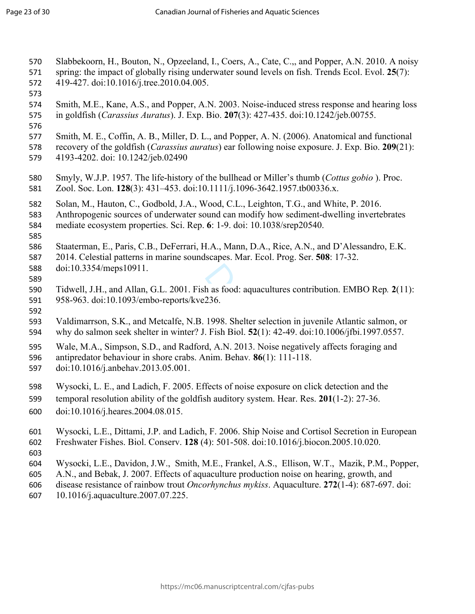- doi:10.3354/meps10911.<br>
589 Tidwell, J.H., and Allan, G.L. 2001. Fish as food: aquacultures contribution. EMBO Rep. 2(1<br>
591 958-963. doi:10.1093/embo-reports/kve236.<br>
592 Valdimarrson, S.K., and Metcalfe, N.B. 1998. Shelt Slabbekoorn, H., Bouton, N., Opzeeland, I., Coers, A., Cate, C.,, and Popper, A.N. 2010. A noisy spring: the impact of globally rising underwater sound levels on fish. Trends Ecol. Evol. **25**(7): 419-427. doi:10.1016/j.tree.2010.04.005. Smith, M.E., Kane, A.S., and Popper, A.N. 2003. Noise-induced stress response and hearing loss in goldfish (*Carassius Auratus*). J. Exp. Bio. **207**(3): 427-435. doi:10.1242/jeb.00755. Smith, M. E., Coffin, A. B., Miller, D. L., and Popper, A. N. (2006). Anatomical and functional recovery of the goldfish (*Carassius auratus*) ear following noise exposure. J. Exp. Bio. **209**(21): 4193-4202. doi: 10.1242/jeb.02490 Smyly, W.J.P. 1957. The life-history of the bullhead or Miller's thumb (*Cottus gobio* ). Proc. Zool. Soc. Lon. **128**(3): 431–453. doi:10.1111/j.1096-3642.1957.tb00336.x. Solan, M., Hauton, C., Godbold, J.A., Wood, C.L., Leighton, T.G., and White, P. 2016. Anthropogenic sources of underwater sound can modify how sediment-dwelling invertebrates mediate ecosystem properties. Sci. Rep. **6**: 1-9. doi: 10.1038/srep20540. Staaterman, E., Paris, C.B., DeFerrari, H.A., Mann, D.A., Rice, A.N., and D'Alessandro, E.K. 2014. Celestial patterns in marine soundscapes. Mar. Ecol. Prog. Ser. **508**: 17-32. doi:10.3354/meps10911. Tidwell, J.H., and Allan, G.L. 2001. Fish as food: aquacultures contribution. EMBO Rep*.* **2**(11): 958-963. doi:10.1093/embo-reports/kve236. Valdimarrson, S.K., and Metcalfe, N.B. 1998. Shelter selection in juvenile Atlantic salmon, or Wale, M.A., Simpson, S.D., and Radford, A.N. 2013. Noise negatively affects foraging and antipredator behaviour in shore crabs. Anim. Behav*.* **86**(1): 111-118. doi:10.1016/j.anbehav.2013.05.001. Wysocki, L. E., and Ladich, F. 2005. Effects of noise exposure on click detection and the temporal resolution ability of the goldfish auditory system. Hear. Res. **201**(1-2): 27-36. doi:[10.1016/j.heares.2004.08.015.](https://doi.org/10.1016/j.heares.2004.08.015) Wysocki, L.E., Dittami, J.P. and Ladich, F. 2006. Ship Noise and Cortisol Secretion in European Freshwater Fishes. Biol. Conserv. **128** (4): 501-508. doi:10.1016/j.biocon.2005.10.020. [Wysocki,](http://www.sciencedirect.com/science/article/pii/S0044848607008113) L.E., Davidon, J.W., [Smith](http://www.sciencedirect.com/science/article/pii/S0044848607008113), M.E., Frankel, A.S., [Ellison](http://www.sciencedirect.com/science/article/pii/S0044848607008113), W.T., [Mazik,](http://www.sciencedirect.com/science/article/pii/S0044848607008113) P.M., Popper, A.N., and Bebak, J. 2007. Effects of aquaculture production noise on hearing, growth, and
- disease resistance of rainbow trout *Oncorhynchus mykiss*. Aquaculture. **272**(1-4): 687-697. doi:
- 10.1016/j.aquaculture.2007.07.225.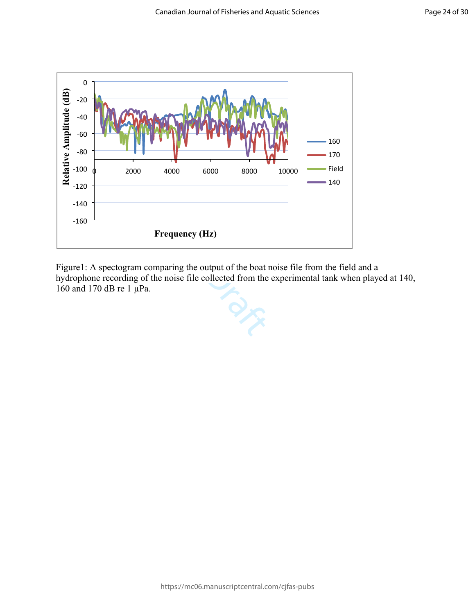

Figure1: A spectogram comparing the output of the boat noise file from the field and a hydrophone recording of the noise file collected from the experimental tank when played at 140, 160 and 170 dB re 1 µPa.

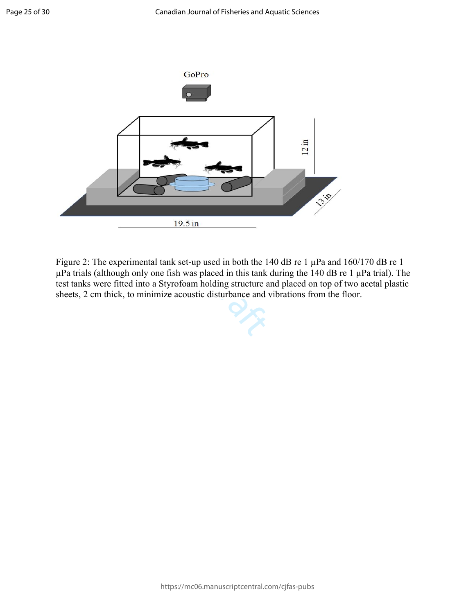

ased in both the T<br>aced in this tank<br>olding structure and Figure 2: The experimental tank set-up used in both the 140 dB re 1  $\mu$ Pa and 160/170 dB re 1  $\mu$ Pa trials (although only one fish was placed in this tank during the 140 dB re 1  $\mu$ Pa trial). The test tanks were fitted into a Styrofoam holding structure and placed on top of two acetal plastic sheets, 2 cm thick, to minimize acoustic disturbance and vibrations from the floor.

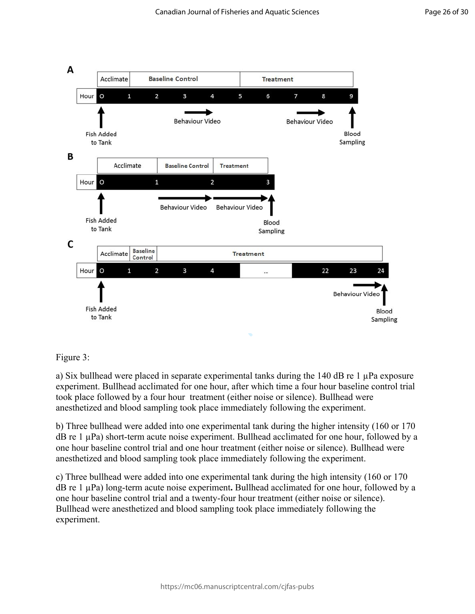

#### Figure 3:

a) Six bullhead were placed in separate experimental tanks during the 140 dB re 1 µPa exposure experiment. Bullhead acclimated for one hour, after which time a four hour baseline control trial took place followed by a four hour treatment (either noise or silence). Bullhead were anesthetized and blood sampling took place immediately following the experiment.

b) Three bullhead were added into one experimental tank during the higher intensity (160 or 170  $dB$  re 1  $\mu$ Pa) short-term acute noise experiment. Bullhead acclimated for one hour, followed by a one hour baseline control trial and one hour treatment (either noise or silence). Bullhead were anesthetized and blood sampling took place immediately following the experiment.

c) Three bullhead were added into one experimental tank during the high intensity (160 or 170 dB re 1 µPa) long-term acute noise experiment**.** Bullhead acclimated for one hour, followed by a one hour baseline control trial and a twenty-four hour treatment (either noise or silence). Bullhead were anesthetized and blood sampling took place immediately following the experiment.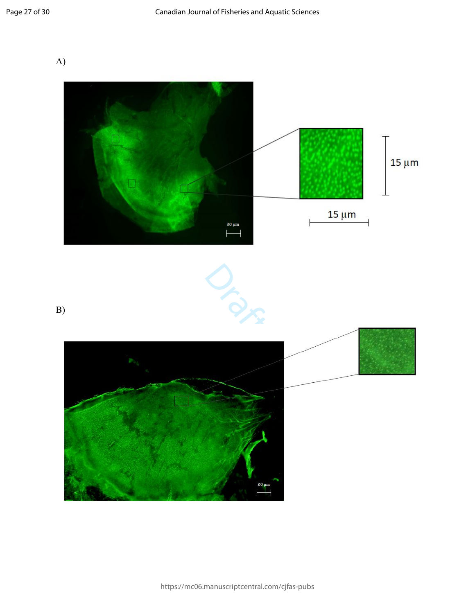A)

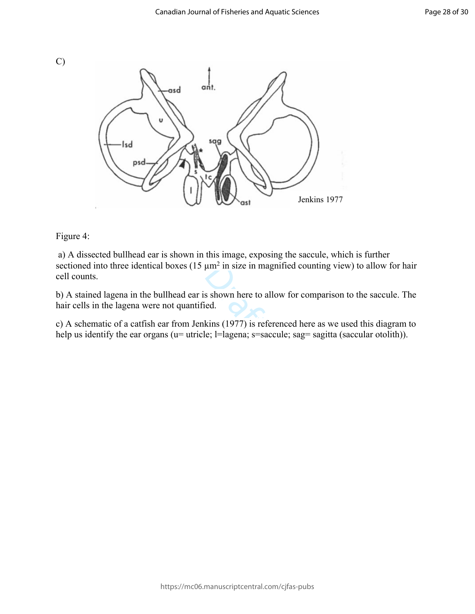



#### Figure 4:

 a) A dissected bullhead ear is shown in this image, exposing the saccule, which is further sectioned into three identical boxes  $(15 \mu m^2)$  in size in magnified counting view) to allow for hair cell counts.

 $\mu$ m<sup>2</sup> in size in ma<br>s shown here to a<br>ed.<br>kins (1977) is ref<br>e:  $=$ lagena: s=sa b) A stained lagena in the bullhead ear is shown here to allow for comparison to the saccule. The hair cells in the lagena were not quantified.

c) A schematic of a catfish ear from Jenkins (1977) is referenced here as we used this diagram to help us identify the ear organs (u= utricle; l=lagena; s=saccule; sag= sagitta (saccular otolith)).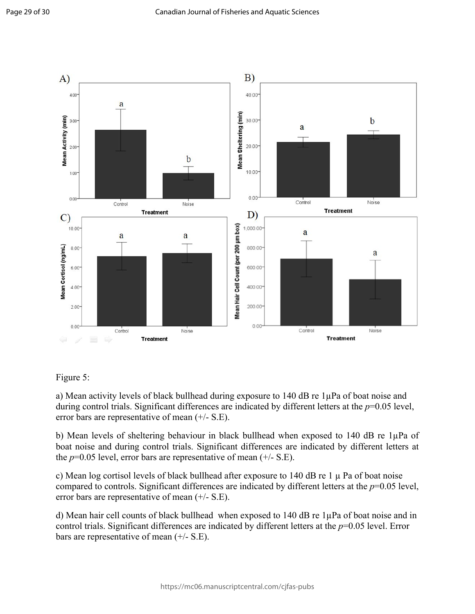

### Figure 5:

a) Mean activity levels of black bullhead during exposure to 140 dB re 1µPa of boat noise and during control trials. Significant differences are indicated by different letters at the *p*=0.05 level, error bars are representative of mean (+/- S.E).

b) Mean levels of sheltering behaviour in black bullhead when exposed to 140 dB re 1µPa of boat noise and during control trials. Significant differences are indicated by different letters at the  $p=0.05$  level, error bars are representative of mean  $(+/- S.E)$ .

c) Mean log cortisol levels of black bullhead after exposure to  $140$  dB re  $1 \mu$  Pa of boat noise compared to controls. Significant differences are indicated by different letters at the *p*=0.05 level, error bars are representative of mean (+/- S.E).

d) Mean hair cell counts of black bullhead when exposed to 140 dB re 1µPa of boat noise and in control trials. Significant differences are indicated by different letters at the *p*=0.05 level. Error bars are representative of mean (+/- S.E).